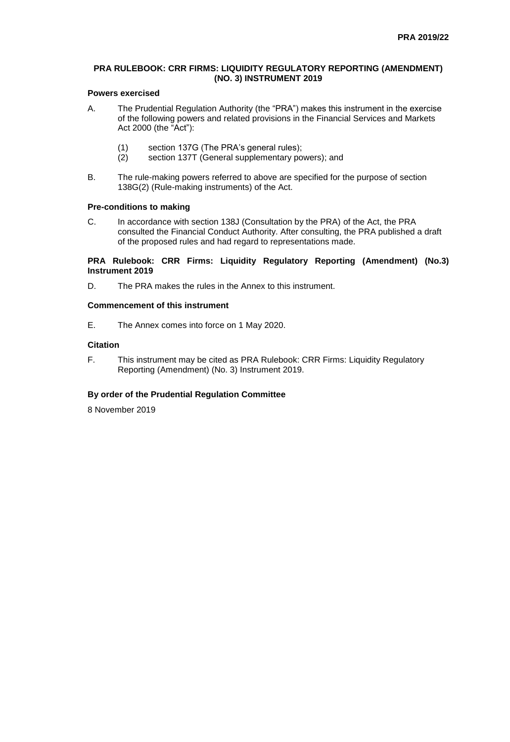## **PRA RULEBOOK: CRR FIRMS: LIQUIDITY REGULATORY REPORTING (AMENDMENT) (NO. 3) INSTRUMENT 2019**

# **Powers exercised**

- A. The Prudential Regulation Authority (the "PRA") makes this instrument in the exercise of the following powers and related provisions in the Financial Services and Markets Act 2000 (the "Act"):
	- (1) section 137G (The PRA's general rules);<br>(2) section 137T (General supplementary po
	- section 137T (General supplementary powers); and
- B. The rule-making powers referred to above are specified for the purpose of section 138G(2) (Rule-making instruments) of the Act.

#### **Pre-conditions to making**

C. In accordance with section 138J (Consultation by the PRA) of the Act, the PRA consulted the Financial Conduct Authority. After consulting, the PRA published a draft of the proposed rules and had regard to representations made.

## **PRA Rulebook: CRR Firms: Liquidity Regulatory Reporting (Amendment) (No.3) Instrument 2019**

D. The PRA makes the rules in the Annex to this instrument.

## **Commencement of this instrument**

E. The Annex comes into force on 1 May 2020.

## **Citation**

F. This instrument may be cited as PRA Rulebook: CRR Firms: Liquidity Regulatory Reporting (Amendment) (No. 3) Instrument 2019.

## **By order of the Prudential Regulation Committee**

8 November 2019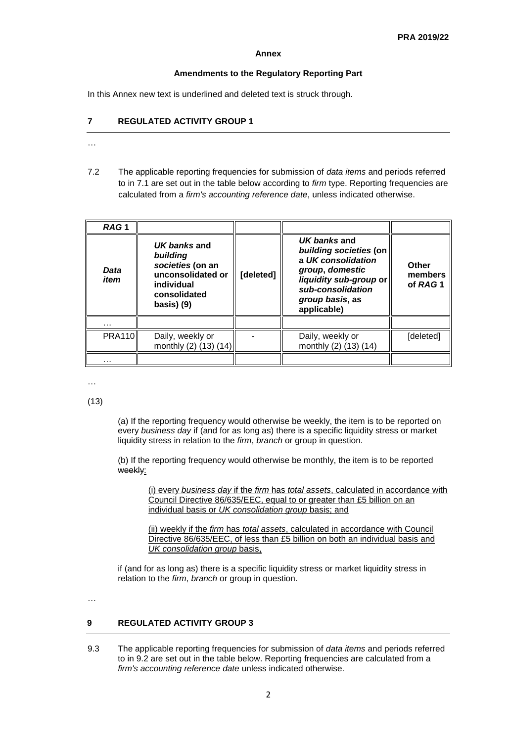#### **Annex**

#### **Amendments to the Regulatory Reporting Part**

In this Annex new text is underlined and deleted text is struck through.

#### **7 REGULATED ACTIVITY GROUP 1**

#### …

7.2 The applicable reporting frequencies for submission of *data items* and periods referred to in 7.1 are set out in the table below according to *firm* type. Reporting frequencies are calculated from a *firm's accounting reference date*, unless indicated otherwise.

| RAG1          |                                                                                                                 |           |                                                                                                                                                                  |                             |
|---------------|-----------------------------------------------------------------------------------------------------------------|-----------|------------------------------------------------------------------------------------------------------------------------------------------------------------------|-----------------------------|
| Data<br>item  | UK banks and<br>building<br>societies (on an<br>unconsolidated or<br>individual<br>consolidated<br>$basis)$ (9) | [deleted] | UK banks and<br>building societies (on<br>a UK consolidation<br>group, domestic<br>liquidity sub-group or<br>sub-consolidation<br>group basis, as<br>applicable) | Other<br>members<br>of RAG1 |
| .             |                                                                                                                 |           |                                                                                                                                                                  |                             |
| <b>PRA110</b> | Daily, weekly or<br>monthly (2) (13) (14)                                                                       |           | Daily, weekly or<br>monthly (2) (13) (14)                                                                                                                        | [deleted]                   |
| .             |                                                                                                                 |           |                                                                                                                                                                  |                             |

…

(13)

(a) If the reporting frequency would otherwise be weekly, the item is to be reported on every *business day* if (and for as long as) there is a specific liquidity stress or market liquidity stress in relation to the *firm*, *branch* or group in question.

(b) If the reporting frequency would otherwise be monthly, the item is to be reported weekly:

(i) every *business day* if the *firm* has *total assets*, calculated in accordance with Council Directive 86/635/EEC, equal to or greater than £5 billion on an individual basis or *UK consolidation group* basis; and

(ii) weekly if the *firm* has *total assets*, calculated in accordance with Council Directive 86/635/EEC, of less than £5 billion on both an individual basis and *UK consolidation group* basis,

if (and for as long as) there is a specific liquidity stress or market liquidity stress in relation to the *firm*, *branch* or group in question.

…

#### **9 REGULATED ACTIVITY GROUP 3**

9.3 The applicable reporting frequencies for submission of *data items* and periods referred to in 9.2 are set out in the table below. Reporting frequencies are calculated from a *firm's accounting reference date* unless indicated otherwise.